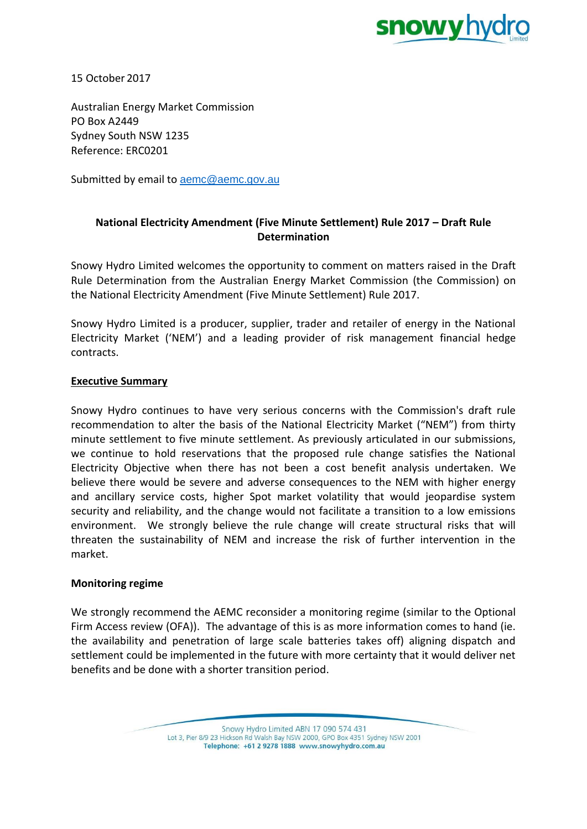

15 October 2017

Australian Energy Market Commission PO Box A2449 Sydney South NSW 1235 Reference: ERC0201

Submitted by email to [aemc@aemc.gov.au](mailto:aemc@aemc.gov.au)

# **National Electricity Amendment (Five Minute Settlement) Rule 2017 – Draft Rule Determination**

Snowy Hydro Limited welcomes the opportunity to comment on matters raised in the Draft Rule Determination from the Australian Energy Market Commission (the Commission) on the National Electricity Amendment (Five Minute Settlement) Rule 2017.

Snowy Hydro Limited is a producer, supplier, trader and retailer of energy in the National Electricity Market ('NEM') and a leading provider of risk management financial hedge contracts.

### **Executive Summary**

Snowy Hydro continues to have very serious concerns with the Commission's draft rule recommendation to alter the basis of the National Electricity Market ("NEM") from thirty minute settlement to five minute settlement. As previously articulated in our submissions, we continue to hold reservations that the proposed rule change satisfies the National Electricity Objective when there has not been a cost benefit analysis undertaken. We believe there would be severe and adverse consequences to the NEM with higher energy and ancillary service costs, higher Spot market volatility that would jeopardise system security and reliability, and the change would not facilitate a transition to a low emissions environment. We strongly believe the rule change will create structural risks that will threaten the sustainability of NEM and increase the risk of further intervention in the market.

### **Monitoring regime**

We strongly recommend the AEMC reconsider a monitoring regime (similar to the Optional Firm Access review (OFA)). The advantage of this is as more information comes to hand (ie. the availability and penetration of large scale batteries takes off) aligning dispatch and settlement could be implemented in the future with more certainty that it would deliver net benefits and be done with a shorter transition period.

> Snowy Hydro Limited ABN 17 090 574 431 Lot 3, Pier 8/9 23 Hickson Rd Walsh Bay NSW 2000, GPO Box 4351 Sydney NSW 2001 Telephone: +61 2 9278 1888 www.snowyhydro.com.au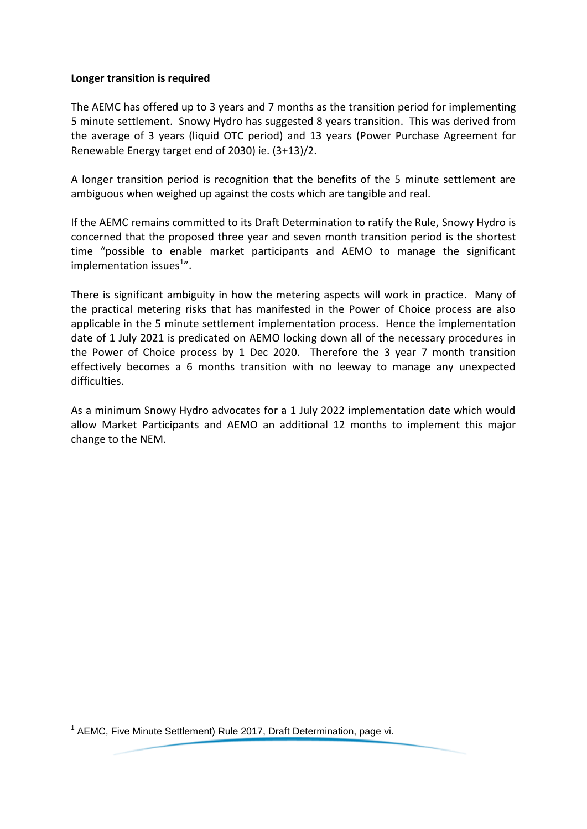### **Longer transition is required**

The AEMC has offered up to 3 years and 7 months as the transition period for implementing 5 minute settlement. Snowy Hydro has suggested 8 years transition. This was derived from the average of 3 years (liquid OTC period) and 13 years (Power Purchase Agreement for Renewable Energy target end of 2030) ie. (3+13)/2.

A longer transition period is recognition that the benefits of the 5 minute settlement are ambiguous when weighed up against the costs which are tangible and real.

If the AEMC remains committed to its Draft Determination to ratify the Rule, Snowy Hydro is concerned that the proposed three year and seven month transition period is the shortest time "possible to enable market participants and AEMO to manage the significant implementation issues<sup>1</sup>".

There is significant ambiguity in how the metering aspects will work in practice. Many of the practical metering risks that has manifested in the Power of Choice process are also applicable in the 5 minute settlement implementation process. Hence the implementation date of 1 July 2021 is predicated on AEMO locking down all of the necessary procedures in the Power of Choice process by 1 Dec 2020. Therefore the 3 year 7 month transition effectively becomes a 6 months transition with no leeway to manage any unexpected difficulties.

As a minimum Snowy Hydro advocates for a 1 July 2022 implementation date which would allow Market Participants and AEMO an additional 12 months to implement this major change to the NEM.

 1 AEMC, Five Minute Settlement) Rule 2017, Draft Determination, page vi.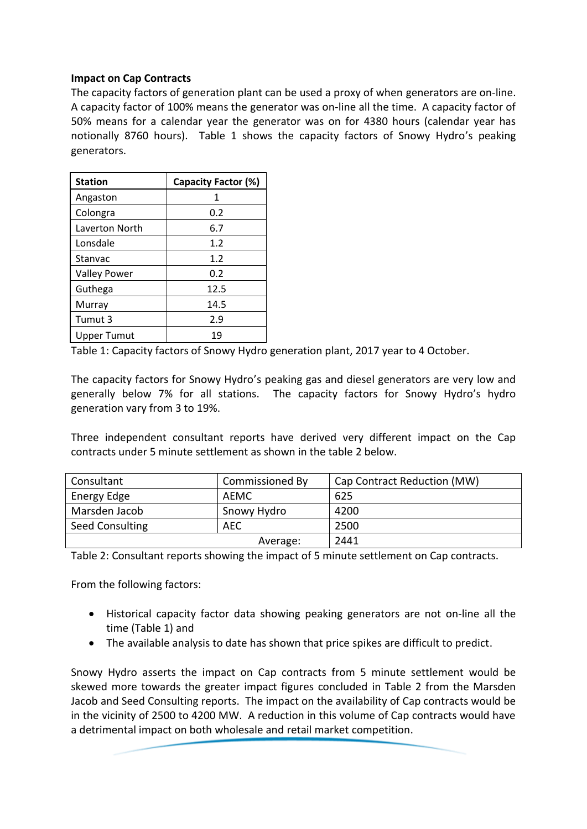## **Impact on Cap Contracts**

The capacity factors of generation plant can be used a proxy of when generators are on-line. A capacity factor of 100% means the generator was on-line all the time. A capacity factor of 50% means for a calendar year the generator was on for 4380 hours (calendar year has notionally 8760 hours). Table 1 shows the capacity factors of Snowy Hydro's peaking generators.

| <b>Station</b>      | Capacity Factor (%) |
|---------------------|---------------------|
| Angaston            | 1                   |
| Colongra            | 0.2                 |
| Laverton North      | 6.7                 |
| Lonsdale            | 1.2                 |
| Stanvac             | 1.2                 |
| <b>Valley Power</b> | 0.2                 |
| Guthega             | 12.5                |
| Murray              | 14.5                |
| Tumut 3             | 2.9                 |
| Upper Tumut         | 19                  |

Table 1: Capacity factors of Snowy Hydro generation plant, 2017 year to 4 October.

The capacity factors for Snowy Hydro's peaking gas and diesel generators are very low and generally below 7% for all stations. The capacity factors for Snowy Hydro's hydro generation vary from 3 to 19%.

Three independent consultant reports have derived very different impact on the Cap contracts under 5 minute settlement as shown in the table 2 below.

| Consultant      | Commissioned By | Cap Contract Reduction (MW) |
|-----------------|-----------------|-----------------------------|
| Energy Edge     | AEMC            | 625                         |
| Marsden Jacob   | Snowy Hydro     | 4200                        |
| Seed Consulting | <b>AEC</b>      | 2500                        |
|                 | Average:        | 2441                        |

Table 2: Consultant reports showing the impact of 5 minute settlement on Cap contracts.

From the following factors:

- Historical capacity factor data showing peaking generators are not on-line all the time (Table 1) and
- The available analysis to date has shown that price spikes are difficult to predict.

Snowy Hydro asserts the impact on Cap contracts from 5 minute settlement would be skewed more towards the greater impact figures concluded in Table 2 from the Marsden Jacob and Seed Consulting reports. The impact on the availability of Cap contracts would be in the vicinity of 2500 to 4200 MW. A reduction in this volume of Cap contracts would have a detrimental impact on both wholesale and retail market competition.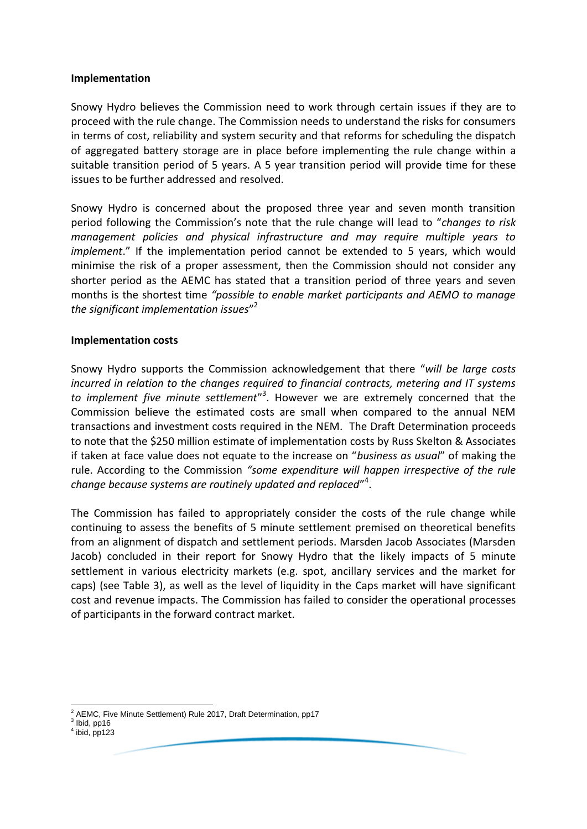#### **Implementation**

Snowy Hydro believes the Commission need to work through certain issues if they are to proceed with the rule change. The Commission needs to understand the risks for consumers in terms of cost, reliability and system security and that reforms for scheduling the dispatch of aggregated battery storage are in place before implementing the rule change within a suitable transition period of 5 years. A 5 year transition period will provide time for these issues to be further addressed and resolved.

Snowy Hydro is concerned about the proposed three year and seven month transition period following the Commission's note that the rule change will lead to "*changes to risk management policies and physical infrastructure and may require multiple years to implement*." If the implementation period cannot be extended to 5 years, which would minimise the risk of a proper assessment, then the Commission should not consider any shorter period as the AEMC has stated that a transition period of three years and seven months is the shortest time *"possible to enable market participants and AEMO to manage the significant implementation issues*" 2

### **Implementation costs**

Snowy Hydro supports the Commission acknowledgement that there "*will be large costs incurred in relation to the changes required to financial contracts, metering and IT systems*  to implement five minute settlement<sup>"3</sup>. However we are extremely concerned that the Commission believe the estimated costs are small when compared to the annual NEM transactions and investment costs required in the NEM. The Draft Determination proceeds to note that the \$250 million estimate of implementation costs by Russ Skelton & Associates if taken at face value does not equate to the increase on "*business as usual*" of making the rule. According to the Commission *"some expenditure will happen irrespective of the rule change because systems are routinely updated and replaced*" 4 .

The Commission has failed to appropriately consider the costs of the rule change while continuing to assess the benefits of 5 minute settlement premised on theoretical benefits from an alignment of dispatch and settlement periods. Marsden Jacob Associates (Marsden Jacob) concluded in their report for Snowy Hydro that the likely impacts of 5 minute settlement in various electricity markets (e.g. spot, ancillary services and the market for caps) (see Table 3), as well as the level of liquidity in the Caps market will have significant cost and revenue impacts. The Commission has failed to consider the operational processes of participants in the forward contract market.

<sup>-</sup><sup>2</sup> AEMC, Five Minute Settlement) Rule 2017, Draft Determination, pp17

 $3$  Ibid, pp16

 $<sup>4</sup>$  ibid, pp123</sup>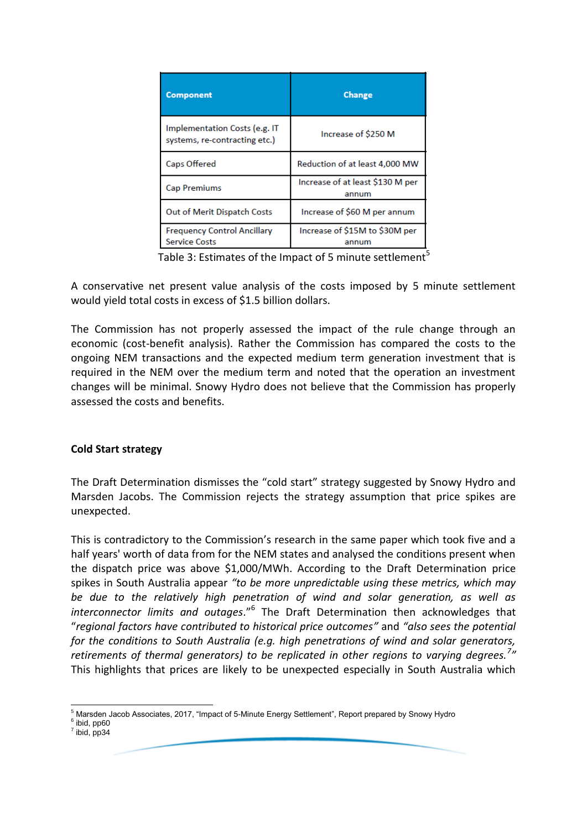| <b>Component</b>                                               | <b>Change</b>                             |
|----------------------------------------------------------------|-------------------------------------------|
| Implementation Costs (e.g. IT<br>systems, re-contracting etc.) | Increase of \$250 M                       |
| Caps Offered                                                   | Reduction of at least 4,000 MW            |
| <b>Cap Premiums</b>                                            | Increase of at least \$130 M per<br>annum |
| Out of Merit Dispatch Costs                                    | Increase of \$60 M per annum              |
| <b>Frequency Control Ancillary</b><br><b>Service Costs</b>     | Increase of \$15M to \$30M per<br>annum   |

Table 3: Estimates of the Impact of 5 minute settlement<sup>5</sup>

A conservative net present value analysis of the costs imposed by 5 minute settlement would yield total costs in excess of \$1.5 billion dollars.

The Commission has not properly assessed the impact of the rule change through an economic (cost-benefit analysis). Rather the Commission has compared the costs to the ongoing NEM transactions and the expected medium term generation investment that is required in the NEM over the medium term and noted that the operation an investment changes will be minimal. Snowy Hydro does not believe that the Commission has properly assessed the costs and benefits.

## **Cold Start strategy**

The Draft Determination dismisses the "cold start" strategy suggested by Snowy Hydro and Marsden Jacobs. The Commission rejects the strategy assumption that price spikes are unexpected.

This is contradictory to the Commission's research in the same paper which took five and a half years' worth of data from for the NEM states and analysed the conditions present when the dispatch price was above \$1,000/MWh. According to the Draft Determination price spikes in South Australia appear *"to be more unpredictable using these metrics, which may be due to the relatively high penetration of wind and solar generation, as well as interconnector limits and outages*."<sup>6</sup> The Draft Determination then acknowledges that "*regional factors have contributed to historical price outcomes"* and *"also sees the potential for the conditions to South Australia (e.g. high penetrations of wind and solar generators, retirements of thermal generators) to be replicated in other regions to varying degrees.<sup>7</sup> "*  This highlights that prices are likely to be unexpected especially in South Australia which

-

Marsden Jacob Associates, 2017, "Impact of 5-Minute Energy Settlement", Report prepared by Snowy Hydro <sup>6</sup> ibid, pp60

 $<sup>7</sup>$  ibid, pp34</sup>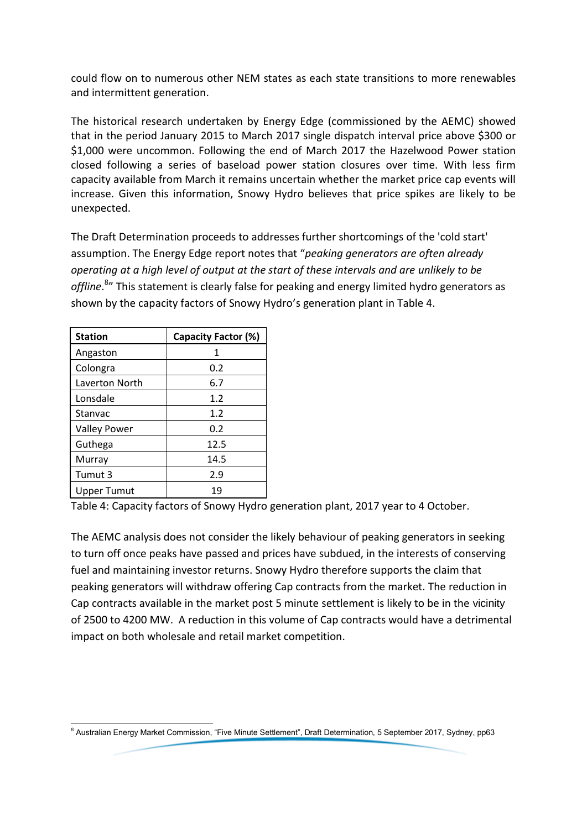could flow on to numerous other NEM states as each state transitions to more renewables and intermittent generation.

The historical research undertaken by Energy Edge (commissioned by the AEMC) showed that in the period January 2015 to March 2017 single dispatch interval price above \$300 or \$1,000 were uncommon. Following the end of March 2017 the Hazelwood Power station closed following a series of baseload power station closures over time. With less firm capacity available from March it remains uncertain whether the market price cap events will increase. Given this information, Snowy Hydro believes that price spikes are likely to be unexpected.

The Draft Determination proceeds to addresses further shortcomings of the 'cold start' assumption. The Energy Edge report notes that "*peaking generators are often already operating at a high level of output at the start of these intervals and are unlikely to be offline*. 8 " This statement is clearly false for peaking and energy limited hydro generators as shown by the capacity factors of Snowy Hydro's generation plant in Table 4.

| <b>Station</b>      | Capacity Factor (%) |
|---------------------|---------------------|
| Angaston            | 1                   |
| Colongra            | 0.2                 |
| Laverton North      | 6.7                 |
| Lonsdale            | 1.2                 |
| Stanvac             | 1.2                 |
| <b>Valley Power</b> | 0.2                 |
| Guthega             | 12.5                |
| Murray              | 14.5                |
| Tumut 3             | 2.9                 |
| <b>Upper Tumut</b>  | 19                  |

Table 4: Capacity factors of Snowy Hydro generation plant, 2017 year to 4 October.

The AEMC analysis does not consider the likely behaviour of peaking generators in seeking to turn off once peaks have passed and prices have subdued, in the interests of conserving fuel and maintaining investor returns. Snowy Hydro therefore supports the claim that peaking generators will withdraw offering Cap contracts from the market. The reduction in Cap contracts available in the market post 5 minute settlement is likely to be in the vicinity of 2500 to 4200 MW. A reduction in this volume of Cap contracts would have a detrimental impact on both wholesale and retail market competition.

<sup>-</sup><sup>8</sup> Australian Energy Market Commission, "Five Minute Settlement", Draft Determination, 5 September 2017, Sydney, pp63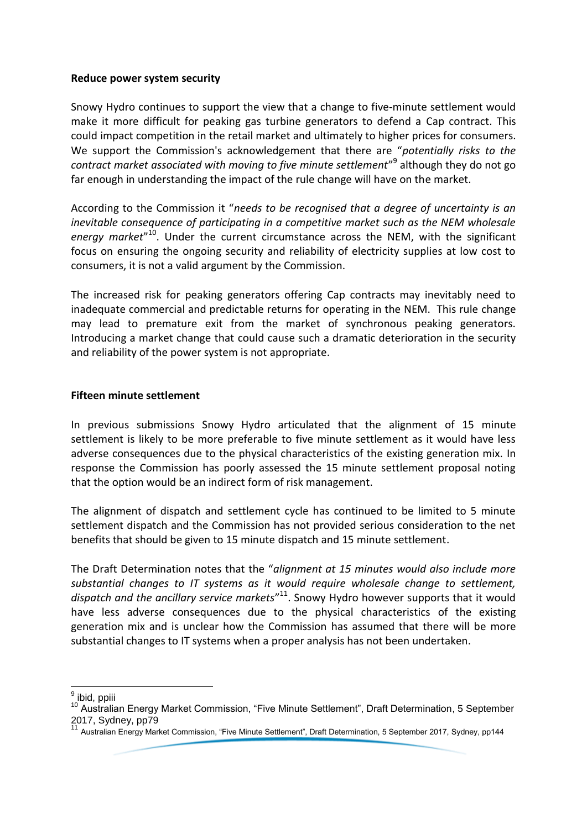### **Reduce power system security**

Snowy Hydro continues to support the view that a change to five-minute settlement would make it more difficult for peaking gas turbine generators to defend a Cap contract. This could impact competition in the retail market and ultimately to higher prices for consumers. We support the Commission's acknowledgement that there are "*potentially risks to the contract market associated with moving to five minute settlement*" 9 although they do not go far enough in understanding the impact of the rule change will have on the market.

According to the Commission it "*needs to be recognised that a degree of uncertainty is an inevitable consequence of participating in a competitive market such as the NEM wholesale energy market*" <sup>10</sup>. Under the current circumstance across the NEM, with the significant focus on ensuring the ongoing security and reliability of electricity supplies at low cost to consumers, it is not a valid argument by the Commission.

The increased risk for peaking generators offering Cap contracts may inevitably need to inadequate commercial and predictable returns for operating in the NEM. This rule change may lead to premature exit from the market of synchronous peaking generators. Introducing a market change that could cause such a dramatic deterioration in the security and reliability of the power system is not appropriate.

#### **Fifteen minute settlement**

In previous submissions Snowy Hydro articulated that the alignment of 15 minute settlement is likely to be more preferable to five minute settlement as it would have less adverse consequences due to the physical characteristics of the existing generation mix. In response the Commission has poorly assessed the 15 minute settlement proposal noting that the option would be an indirect form of risk management.

The alignment of dispatch and settlement cycle has continued to be limited to 5 minute settlement dispatch and the Commission has not provided serious consideration to the net benefits that should be given to 15 minute dispatch and 15 minute settlement.

The Draft Determination notes that the "*alignment at 15 minutes would also include more substantial changes to IT systems as it would require wholesale change to settlement, dispatch and the ancillary service markets*" <sup>11</sup>. Snowy Hydro however supports that it would have less adverse consequences due to the physical characteristics of the existing generation mix and is unclear how the Commission has assumed that there will be more substantial changes to IT systems when a proper analysis has not been undertaken.

\_\_\_\_\_\_\_\_\_\_\_\_\_<br><sup>9</sup> ibid, ppiii

<sup>10</sup> Australian Energy Market Commission, "Five Minute Settlement", Draft Determination, 5 September 2017, Sydney, pp79

<sup>11</sup> Australian Energy Market Commission, "Five Minute Settlement", Draft Determination, 5 September 2017, Sydney, pp144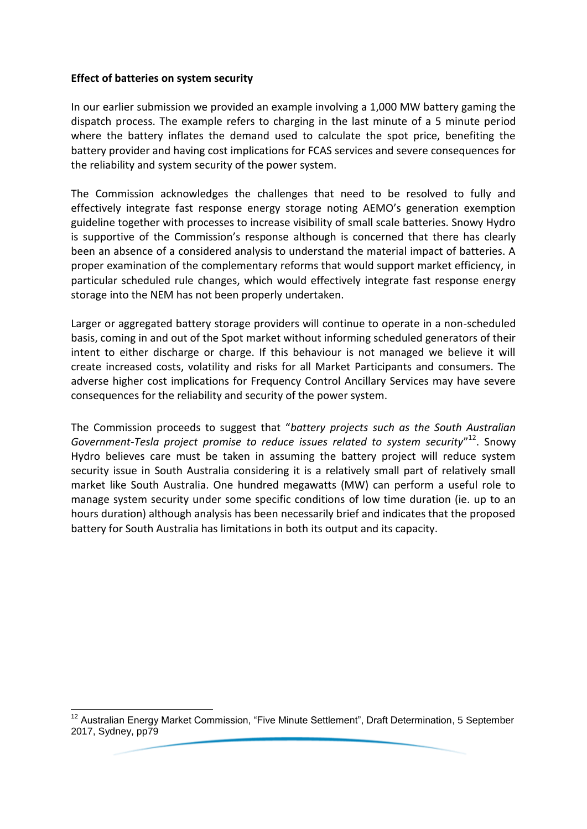### **Effect of batteries on system security**

In our earlier submission we provided an example involving a 1,000 MW battery gaming the dispatch process. The example refers to charging in the last minute of a 5 minute period where the battery inflates the demand used to calculate the spot price, benefiting the battery provider and having cost implications for FCAS services and severe consequences for the reliability and system security of the power system.

The Commission acknowledges the challenges that need to be resolved to fully and effectively integrate fast response energy storage noting AEMO's generation exemption guideline together with processes to increase visibility of small scale batteries. Snowy Hydro is supportive of the Commission's response although is concerned that there has clearly been an absence of a considered analysis to understand the material impact of batteries. A proper examination of the complementary reforms that would support market efficiency, in particular scheduled rule changes, which would effectively integrate fast response energy storage into the NEM has not been properly undertaken.

Larger or aggregated battery storage providers will continue to operate in a non-scheduled basis, coming in and out of the Spot market without informing scheduled generators of their intent to either discharge or charge. If this behaviour is not managed we believe it will create increased costs, volatility and risks for all Market Participants and consumers. The adverse higher cost implications for Frequency Control Ancillary Services may have severe consequences for the reliability and security of the power system.

The Commission proceeds to suggest that "*battery projects such as the South Australian*  Government-Tesla project promise to reduce issues related to system security"<sup>12</sup>. Snowy Hydro believes care must be taken in assuming the battery project will reduce system security issue in South Australia considering it is a relatively small part of relatively small market like South Australia. One hundred megawatts (MW) can perform a useful role to manage system security under some specific conditions of low time duration (ie. up to an hours duration) although analysis has been necessarily brief and indicates that the proposed battery for South Australia has limitations in both its output and its capacity.

<sup>-</sup><sup>12</sup> Australian Energy Market Commission, "Five Minute Settlement", Draft Determination, 5 September 2017, Sydney, pp79